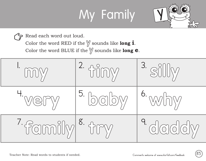## My Family



Read each word out loud. ゙゙ヲ

Color the word RED if the **y** sounds like **long i**.

Color the word BLUE if the **y** sounds like **long e**.

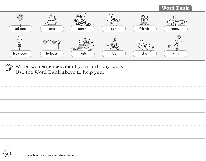## **Word Bank**



Write two sentences about your birthday party.  $\boldsymbol{\varphi}$ Use the Word Bank above to help you.

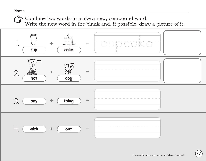Combine two words to make a new, compound word.

Write the new word in the blank and, if possible, draw a picture of it.

![](_page_2_Figure_3.jpeg)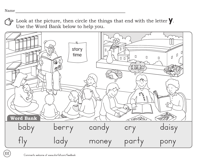**88**

Look at the picture, then circle the things that end with the letter **y**. Use the Word Bank below to help you.

![](_page_3_Figure_2.jpeg)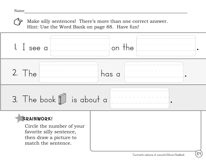Make silly sentences! There's more than one correct answer. Hint: Use the Word Bank on page 88. Have fun!

![](_page_4_Figure_2.jpeg)